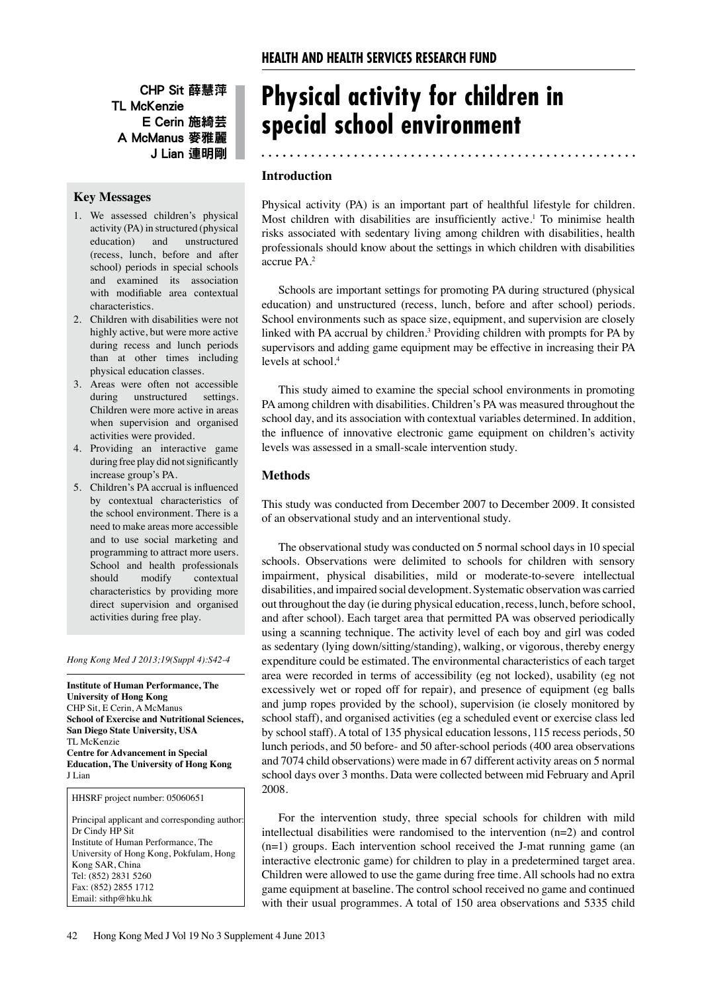CHP Sit 薛慧萍 TL McKenzie E Cerin 施綺芸 A McManus 麥雅麗 J Lian 連明剛

# **Key Messages**

- 1. We assessed children's physical activity (PA) in structured (physical education) and unstructured (recess, lunch, before and after school) periods in special schools and examined its association with modifiable area contextual characteristics.
- 2. Children with disabilities were not highly active, but were more active during recess and lunch periods than at other times including physical education classes.
- 3. Areas were often not accessible during unstructured settings. Children were more active in areas when supervision and organised activities were provided.
- 4. Providing an interactive game during free play did not significantly increase group's PA.
- 5. Children's PA accrual is influenced by contextual characteristics of the school environment. There is a need to make areas more accessible and to use social marketing and programming to attract more users. School and health professionals should modify contextual characteristics by providing more direct supervision and organised activities during free play.

*Hong Kong Med J 2013;19(Suppl 4):S42-4*

**Institute of Human Performance, The University of Hong Kong** CHP Sit, E Cerin, A McManus **School of Exercise and Nutritional Sciences, San Diego State University, USA** TL McKenzie **Centre for Advancement in Special Education, The University of Hong Kong** J Lian

HHSRF project number: 05060651

Principal applicant and corresponding author: Dr Cindy HP Sit Institute of Human Performance, The University of Hong Kong, Pokfulam, Hong Kong SAR, China Tel: (852) 2831 5260 Fax: (852) 2855 1712 Email: sithp@hku.hk

# **Physical activity for children in special school environment**

### **Introduction**

Physical activity (PA) is an important part of healthful lifestyle for children. Most children with disabilities are insufficiently active.<sup>1</sup> To minimise health risks associated with sedentary living among children with disabilities, health professionals should know about the settings in which children with disabilities accrue PA.2

Schools are important settings for promoting PA during structured (physical education) and unstructured (recess, lunch, before and after school) periods. School environments such as space size, equipment, and supervision are closely linked with PA accrual by children.<sup>3</sup> Providing children with prompts for PA by supervisors and adding game equipment may be effective in increasing their PA levels at school.4

This study aimed to examine the special school environments in promoting PA among children with disabilities. Children's PA was measured throughout the school day, and its association with contextual variables determined. In addition, the influence of innovative electronic game equipment on children's activity levels was assessed in a small-scale intervention study.

## **Methods**

This study was conducted from December 2007 to December 2009. It consisted of an observational study and an interventional study.

The observational study was conducted on 5 normal school days in 10 special schools. Observations were delimited to schools for children with sensory impairment, physical disabilities, mild or moderate-to-severe intellectual disabilities, and impaired social development. Systematic observation was carried out throughout the day (ie during physical education, recess, lunch, before school, and after school). Each target area that permitted PA was observed periodically using a scanning technique. The activity level of each boy and girl was coded as sedentary (lying down/sitting/standing), walking, or vigorous, thereby energy expenditure could be estimated. The environmental characteristics of each target area were recorded in terms of accessibility (eg not locked), usability (eg not excessively wet or roped off for repair), and presence of equipment (eg balls and jump ropes provided by the school), supervision (ie closely monitored by school staff), and organised activities (eg a scheduled event or exercise class led by school staff). A total of 135 physical education lessons, 115 recess periods, 50 lunch periods, and 50 before- and 50 after-school periods (400 area observations and 7074 child observations) were made in 67 different activity areas on 5 normal school days over 3 months. Data were collected between mid February and April 2008.

For the intervention study, three special schools for children with mild intellectual disabilities were randomised to the intervention (n=2) and control (n=1) groups. Each intervention school received the J-mat running game (an interactive electronic game) for children to play in a predetermined target area. Children were allowed to use the game during free time. All schools had no extra game equipment at baseline. The control school received no game and continued with their usual programmes. A total of 150 area observations and 5335 child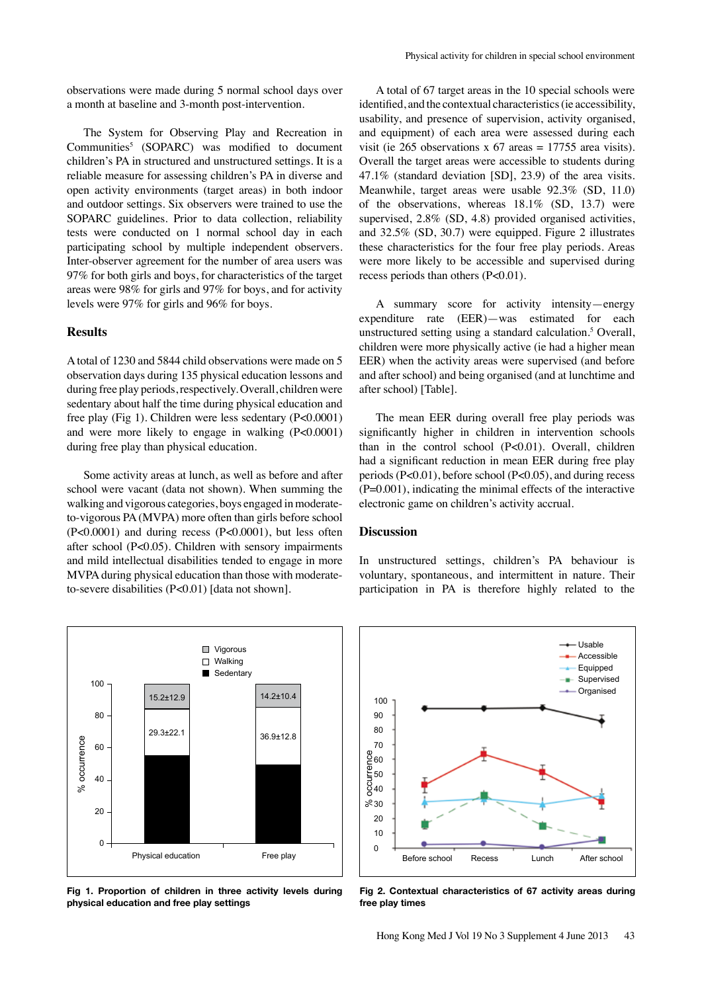observations were made during 5 normal school days over a month at baseline and 3-month post-intervention.

The System for Observing Play and Recreation in Communities<sup>5</sup> (SOPARC) was modified to document children's PA in structured and unstructured settings. It is a reliable measure for assessing children's PA in diverse and open activity environments (target areas) in both indoor and outdoor settings. Six observers were trained to use the SOPARC guidelines. Prior to data collection, reliability tests were conducted on 1 normal school day in each participating school by multiple independent observers. Inter-observer agreement for the number of area users was 97% for both girls and boys, for characteristics of the target areas were 98% for girls and 97% for boys, and for activity levels were 97% for girls and 96% for boys.

#### **Results**

A total of 1230 and 5844 child observations were made on 5 observation days during 135 physical education lessons and during free play periods, respectively. Overall, children were sedentary about half the time during physical education and free play (Fig 1). Children were less sedentary (P<0.0001) and were more likely to engage in walking (P<0.0001) during free play than physical education.

Some activity areas at lunch, as well as before and after school were vacant (data not shown). When summing the walking and vigorous categories, boys engaged in moderateto-vigorous PA (MVPA) more often than girls before school (P<0.0001) and during recess (P<0.0001), but less often after school (P<0.05). Children with sensory impairments and mild intellectual disabilities tended to engage in more MVPA during physical education than those with moderateto-severe disabilities (P<0.01) [data not shown].



**Fig 1. Proportion of children in three activity levels during physical education and free play settings**

A total of 67 target areas in the 10 special schools were identified, and the contextual characteristics (ie accessibility, usability, and presence of supervision, activity organised, and equipment) of each area were assessed during each visit (ie 265 observations x 67 areas = 17755 area visits). Overall the target areas were accessible to students during 47.1% (standard deviation [SD], 23.9) of the area visits. Meanwhile, target areas were usable 92.3% (SD, 11.0) of the observations, whereas 18.1% (SD, 13.7) were supervised, 2.8% (SD, 4.8) provided organised activities, and 32.5% (SD, 30.7) were equipped. Figure 2 illustrates these characteristics for the four free play periods. Areas were more likely to be accessible and supervised during recess periods than others (P<0.01).

A summary score for activity intensity—energy expenditure rate (EER)—was estimated for each unstructured setting using a standard calculation.<sup>5</sup> Overall, children were more physically active (ie had a higher mean EER) when the activity areas were supervised (and before and after school) and being organised (and at lunchtime and after school) [Table].

The mean EER during overall free play periods was significantly higher in children in intervention schools than in the control school (P<0.01). Overall, children had a significant reduction in mean EER during free play periods (P<0.01), before school (P<0.05), and during recess  $(P=0.001)$ , indicating the minimal effects of the interactive electronic game on children's activity accrual.

#### **Discussion**

In unstructured settings, children's PA behaviour is voluntary, spontaneous, and intermittent in nature. Their participation in PA is therefore highly related to the



**Fig 2. Contextual characteristics of 67 activity areas during free play times**